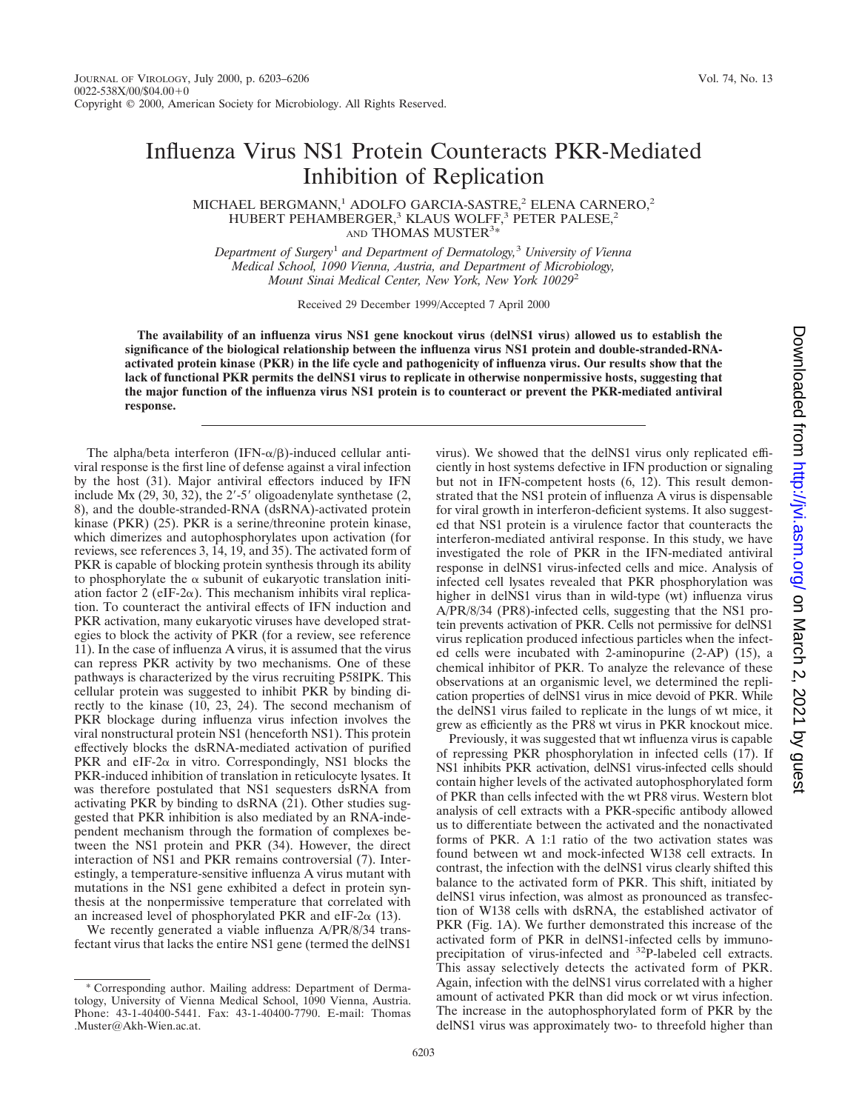## Influenza Virus NS1 Protein Counteracts PKR-Mediated Inhibition of Replication

MICHAEL BERGMANN,<sup>1</sup> ADOLFO GARCIA-SASTRE,<sup>2</sup> ELENA CARNERO,<sup>2</sup> HUBERT PEHAMBERGER,<sup>3</sup> KLAUS WOLFF,<sup>3</sup> PETER PALESE,<sup>2</sup> AND THOMAS MUSTER<sup>3\*</sup>

*Department of Surgery*<sup>1</sup> *and Department of Dermatology,*<sup>3</sup> *University of Vienna Medical School, 1090 Vienna, Austria, and Department of Microbiology, Mount Sinai Medical Center, New York, New York 10029*<sup>2</sup>

Received 29 December 1999/Accepted 7 April 2000

**The availability of an influenza virus NS1 gene knockout virus (delNS1 virus) allowed us to establish the significance of the biological relationship between the influenza virus NS1 protein and double-stranded-RNAactivated protein kinase (PKR) in the life cycle and pathogenicity of influenza virus. Our results show that the lack of functional PKR permits the delNS1 virus to replicate in otherwise nonpermissive hosts, suggesting that the major function of the influenza virus NS1 protein is to counteract or prevent the PKR-mediated antiviral response.**

The alpha/beta interferon (IFN- $\alpha/\beta$ )-induced cellular antiviral response is the first line of defense against a viral infection by the host (31). Major antiviral effectors induced by IFN include Mx  $(29, 30, 32)$ , the  $2'$ -5' oligoadenylate synthetase  $(2, 4)$ 8), and the double-stranded-RNA (dsRNA)-activated protein kinase (PKR) (25). PKR is a serine/threonine protein kinase, which dimerizes and autophosphorylates upon activation (for reviews, see references 3, 14, 19, and 35). The activated form of PKR is capable of blocking protein synthesis through its ability to phosphorylate the  $\alpha$  subunit of eukaryotic translation initiation factor 2 (eIF-2 $\alpha$ ). This mechanism inhibits viral replication. To counteract the antiviral effects of IFN induction and PKR activation, many eukaryotic viruses have developed strategies to block the activity of PKR (for a review, see reference 11). In the case of influenza A virus, it is assumed that the virus can repress PKR activity by two mechanisms. One of these pathways is characterized by the virus recruiting P58IPK. This cellular protein was suggested to inhibit PKR by binding directly to the kinase (10, 23, 24). The second mechanism of PKR blockage during influenza virus infection involves the viral nonstructural protein NS1 (henceforth NS1). This protein effectively blocks the dsRNA-mediated activation of purified PKR and eIF-2 $\alpha$  in vitro. Correspondingly, NS1 blocks the PKR-induced inhibition of translation in reticulocyte lysates. It was therefore postulated that NS1 sequesters dsRNA from activating PKR by binding to dsRNA (21). Other studies suggested that PKR inhibition is also mediated by an RNA-independent mechanism through the formation of complexes between the NS1 protein and PKR (34). However, the direct interaction of NS1 and PKR remains controversial (7). Interestingly, a temperature-sensitive influenza A virus mutant with mutations in the NS1 gene exhibited a defect in protein synthesis at the nonpermissive temperature that correlated with an increased level of phosphorylated PKR and eIF-2 $\alpha$  (13).

We recently generated a viable influenza A/PR/8/34 transfectant virus that lacks the entire NS1 gene (termed the delNS1 virus). We showed that the delNS1 virus only replicated efficiently in host systems defective in IFN production or signaling but not in IFN-competent hosts (6, 12). This result demonstrated that the NS1 protein of influenza A virus is dispensable for viral growth in interferon-deficient systems. It also suggested that NS1 protein is a virulence factor that counteracts the interferon-mediated antiviral response. In this study, we have investigated the role of PKR in the IFN-mediated antiviral response in delNS1 virus-infected cells and mice. Analysis of infected cell lysates revealed that PKR phosphorylation was higher in delNS1 virus than in wild-type (wt) influenza virus A/PR/8/34 (PR8)-infected cells, suggesting that the NS1 protein prevents activation of PKR. Cells not permissive for delNS1 virus replication produced infectious particles when the infected cells were incubated with 2-aminopurine (2-AP) (15), a chemical inhibitor of PKR. To analyze the relevance of these observations at an organismic level, we determined the replication properties of delNS1 virus in mice devoid of PKR. While the delNS1 virus failed to replicate in the lungs of wt mice, it grew as efficiently as the PR8 wt virus in PKR knockout mice.

Previously, it was suggested that wt influenza virus is capable of repressing PKR phosphorylation in infected cells (17). If NS1 inhibits PKR activation, delNS1 virus-infected cells should contain higher levels of the activated autophosphorylated form of PKR than cells infected with the wt PR8 virus. Western blot analysis of cell extracts with a PKR-specific antibody allowed us to differentiate between the activated and the nonactivated forms of PKR. A 1:1 ratio of the two activation states was found between wt and mock-infected W138 cell extracts. In contrast, the infection with the delNS1 virus clearly shifted this balance to the activated form of PKR. This shift, initiated by delNS1 virus infection, was almost as pronounced as transfection of W138 cells with dsRNA, the established activator of PKR (Fig. 1A). We further demonstrated this increase of the activated form of PKR in delNS1-infected cells by immunoprecipitation of virus-infected and 32P-labeled cell extracts. This assay selectively detects the activated form of PKR. Again, infection with the delNS1 virus correlated with a higher amount of activated PKR than did mock or wt virus infection. The increase in the autophosphorylated form of PKR by the delNS1 virus was approximately two- to threefold higher than

<sup>\*</sup> Corresponding author. Mailing address: Department of Dermatology, University of Vienna Medical School, 1090 Vienna, Austria. Phone: 43-1-40400-5441. Fax: 43-1-40400-7790. E-mail: Thomas .Muster@Akh-Wien.ac.at.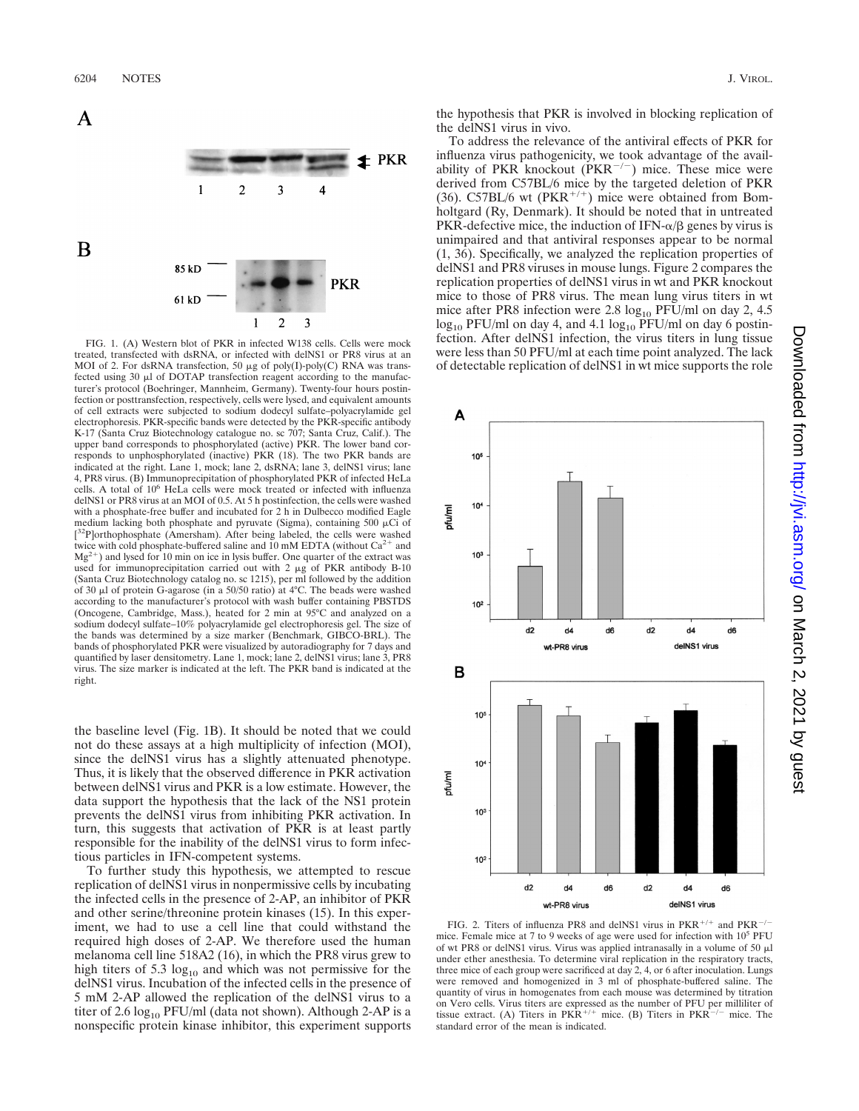

FIG. 1. (A) Western blot of PKR in infected W138 cells. Cells were mock treated, transfected with dsRNA, or infected with delNS1 or PR8 virus at an MOI of 2. For dsRNA transfection, 50  $\mu$ g of poly(I)-poly(C) RNA was transfected using 30  $\mu$ l of DOTAP transfection reagent according to the manufacturer's protocol (Boehringer, Mannheim, Germany). Twenty-four hours postinfection or posttransfection, respectively, cells were lysed, and equivalent amounts of cell extracts were subjected to sodium dodecyl sulfate–polyacrylamide gel electrophoresis. PKR-specific bands were detected by the PKR-specific antibody K-17 (Santa Cruz Biotechnology catalogue no. sc 707; Santa Cruz, Calif.). The upper band corresponds to phosphorylated (active) PKR. The lower band corresponds to unphosphorylated (inactive) PKR (18). The two PKR bands are indicated at the right. Lane 1, mock; lane 2, dsRNA; lane 3, delNS1 virus; lane 4, PR8 virus. (B) Immunoprecipitation of phosphorylated PKR of infected HeLa cells. A total of 10<sup>6</sup> HeLa cells were mock treated or infected with influenza delNS1 or PR8 virus at an MOI of 0.5. At 5 h postinfection, the cells were washed with a phosphate-free buffer and incubated for 2 h in Dulbecco modified Eagle medium lacking both phosphate and pyruvate (Sigma), containing 500  $\mu$ Ci of [<sup>32</sup>P]orthophosphate (Amersham). After being labeled, the cells were washed twice with cold phosphate-buffered saline and 10 mM EDTA (without  $Ca^{2+}$  and  $Mg^{2+}$ ) and lysed for 10 min on ice in lysis buffer. One quarter of the extract was used for immunoprecipitation carried out with 2  $\mu$ g of PKR antibody B-10 (Santa Cruz Biotechnology catalog no. sc 1215), per ml followed by the addition<br>of 30 µl of protein G-agarose (in a 50/50 ratio) at 4°C. The beads were washed according to the manufacturer's protocol with wash buffer containing PBSTDS (Oncogene, Cambridge, Mass.), heated for 2 min at 95°C and analyzed on a sodium dodecyl sulfate–10% polyacrylamide gel electrophoresis gel. The size of the bands was determined by a size marker (Benchmark, GIBCO-BRL). The bands of phosphorylated PKR were visualized by autoradiography for 7 days and quantified by laser densitometry. Lane 1, mock; lane 2, delNS1 virus; lane 3, PR8 virus. The size marker is indicated at the left. The PKR band is indicated at the right.

the baseline level (Fig. 1B). It should be noted that we could not do these assays at a high multiplicity of infection (MOI), since the delNS1 virus has a slightly attenuated phenotype. Thus, it is likely that the observed difference in PKR activation between delNS1 virus and PKR is a low estimate. However, the data support the hypothesis that the lack of the NS1 protein prevents the delNS1 virus from inhibiting PKR activation. In turn, this suggests that activation of PKR is at least partly responsible for the inability of the delNS1 virus to form infectious particles in IFN-competent systems.

To further study this hypothesis, we attempted to rescue replication of delNS1 virus in nonpermissive cells by incubating the infected cells in the presence of 2-AP, an inhibitor of PKR and other serine/threonine protein kinases (15). In this experiment, we had to use a cell line that could withstand the required high doses of 2-AP. We therefore used the human melanoma cell line 518A2 (16), in which the PR8 virus grew to high titers of 5.3  $log_{10}$  and which was not permissive for the delNS1 virus. Incubation of the infected cells in the presence of 5 mM 2-AP allowed the replication of the delNS1 virus to a titer of 2.6  $log_{10}$  PFU/ml (data not shown). Although 2-AP is a nonspecific protein kinase inhibitor, this experiment supports

the hypothesis that PKR is involved in blocking replication of the delNS1 virus in vivo.

To address the relevance of the antiviral effects of PKR for influenza virus pathogenicity, we took advantage of the availability of PKR knockout  $(PKR^{-/-})$  mice. These mice were derived from C57BL/6 mice by the targeted deletion of PKR (36). C57BL/6 wt ( $PKR^{+/+}$ ) mice were obtained from Bomholtgard (Ry, Denmark). It should be noted that in untreated PKR-defective mice, the induction of IFN- $\alpha/\beta$  genes by virus is unimpaired and that antiviral responses appear to be normal (1, 36). Specifically, we analyzed the replication properties of delNS1 and PR8 viruses in mouse lungs. Figure 2 compares the replication properties of delNS1 virus in wt and PKR knockout mice to those of PR8 virus. The mean lung virus titers in wt mice after PR8 infection were  $2.8 \log_{10}$  PFU/ml on day 2, 4.5  $log_{10}$  PFU/ml on day 4, and 4.1  $log_{10}$  PFU/ml on day 6 postinfection. After delNS1 infection, the virus titers in lung tissue were less than 50 PFU/ml at each time point analyzed. The lack of detectable replication of delNS1 in wt mice supports the role



FIG. 2. Titers of influenza PR8 and delNS1 virus in PKR<sup>+/+</sup> and PKR<sup>-/-</sup> mice. Female mice at 7 to 9 weeks of age were used for infection with 10<sup>5</sup> PFU of wt PR8 or delNS1 virus. Virus was applied intranasally in a volume of 50  $\mu$ l under ether anesthesia. To determine viral replication in the respiratory tracts, three mice of each group were sacrificed at day 2, 4, or 6 after inoculation. Lungs were removed and homogenized in 3 ml of phosphate-buffered saline. The quantity of virus in homogenates from each mouse was determined by titration on Vero cells. Virus titers are expressed as the number of PFU per milliliter of tissue extract. (A) Titers in  $PKR^{+/+}$  mice. (B) Titers in  $PKR^{-/-}$  mice. The standard error of the mean is indicated.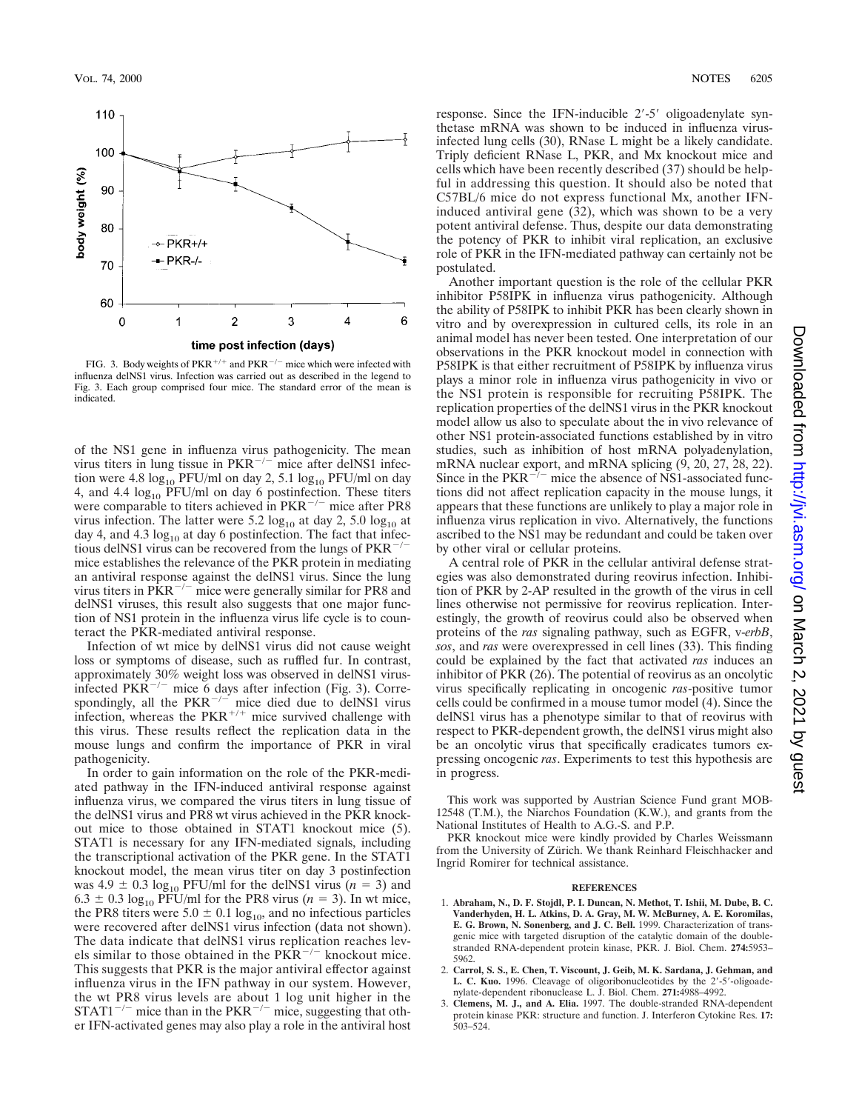

FIG. 3. Body weights of PKR<sup>+/+</sup> and PKR<sup>-/-</sup> mice which were infected with influenza delNS1 virus. Infection was carried out as described in the legend to Fig. 3. Each group comprised four mice. The standard error of the mean is indicated.

of the NS1 gene in influenza virus pathogenicity. The mean virus titers in lung tissue in  $PKR^{-/-}$  mice after delNS1 infection were 4.8  $log_{10}$  PFU/ml on day 2, 5.1  $log_{10}$  PFU/ml on day 4, and 4.4  $log_{10}$  PFU/ml on day 6 postinfection. These titers were comparable to titers achieved in  $PKR^{-/-}$  mice after PR8 virus infection. The latter were 5.2  $log_{10}$  at day 2, 5.0  $log_{10}$  at day 4, and 4.3  $log_{10}$  at day 6 postinfection. The fact that infectious delNS1 virus can be recovered from the lungs of  $PKR^{-/-}$ mice establishes the relevance of the PKR protein in mediating an antiviral response against the delNS1 virus. Since the lung virus titers in  $\overrightarrow{PRR}^{-/-}$  mice were generally similar for PR8 and delNS1 viruses, this result also suggests that one major function of NS1 protein in the influenza virus life cycle is to counteract the PKR-mediated antiviral response.

Infection of wt mice by delNS1 virus did not cause weight loss or symptoms of disease, such as ruffled fur. In contrast, approximately 30% weight loss was observed in delNS1 virusinfected PKR<sup> $-/-$ </sup> mice 6 days after infection (Fig. 3). Correspondingly, all the  $PKR^{-/-}$  mice died due to delNS1 virus infection, whereas the  $PKR^{+/+}$  mice survived challenge with this virus. These results reflect the replication data in the mouse lungs and confirm the importance of PKR in viral pathogenicity.

In order to gain information on the role of the PKR-mediated pathway in the IFN-induced antiviral response against influenza virus, we compared the virus titers in lung tissue of the delNS1 virus and PR8 wt virus achieved in the PKR knockout mice to those obtained in STAT1 knockout mice (5). STAT1 is necessary for any IFN-mediated signals, including the transcriptional activation of the PKR gene. In the STAT1 knockout model, the mean virus titer on day 3 postinfection was  $4.9 \pm 0.3 \log_{10}$  PFU/ml for the delNS1 virus ( $n = 3$ ) and  $6.3 \pm 0.3 \log_{10}$  PFU/ml for the PR8 virus ( $n = 3$ ). In wt mice, the PR8 titers were  $5.0 \pm 0.1 \log_{10}$ , and no infectious particles were recovered after delNS1 virus infection (data not shown). The data indicate that delNS1 virus replication reaches levels similar to those obtained in the  $\overrightarrow{PRR}^{-/-}$  knockout mice. This suggests that PKR is the major antiviral effector against influenza virus in the IFN pathway in our system. However, the wt PR8 virus levels are about 1 log unit higher in the  $STAT1^{-/-}$  mice than in the PKR<sup>-/-</sup> mice, suggesting that other IFN-activated genes may also play a role in the antiviral host response. Since the IFN-inducible 2'-5' oligoadenylate synthetase mRNA was shown to be induced in influenza virusinfected lung cells (30), RNase L might be a likely candidate. Triply deficient RNase L, PKR, and Mx knockout mice and cells which have been recently described (37) should be helpful in addressing this question. It should also be noted that C57BL/6 mice do not express functional Mx, another IFNinduced antiviral gene (32), which was shown to be a very potent antiviral defense. Thus, despite our data demonstrating the potency of PKR to inhibit viral replication, an exclusive role of PKR in the IFN-mediated pathway can certainly not be postulated.

Another important question is the role of the cellular PKR inhibitor P58IPK in influenza virus pathogenicity. Although the ability of P58IPK to inhibit PKR has been clearly shown in vitro and by overexpression in cultured cells, its role in an animal model has never been tested. One interpretation of our observations in the PKR knockout model in connection with P58IPK is that either recruitment of P58IPK by influenza virus plays a minor role in influenza virus pathogenicity in vivo or the NS1 protein is responsible for recruiting P58IPK. The replication properties of the delNS1 virus in the PKR knockout model allow us also to speculate about the in vivo relevance of other NS1 protein-associated functions established by in vitro studies, such as inhibition of host mRNA polyadenylation, mRNA nuclear export, and mRNA splicing  $(9, 20, 27, 28, 22)$ . Since in the  $PKR^{-7-}$  mice the absence of NS1-associated functions did not affect replication capacity in the mouse lungs, it appears that these functions are unlikely to play a major role in influenza virus replication in vivo. Alternatively, the functions ascribed to the NS1 may be redundant and could be taken over by other viral or cellular proteins.

A central role of PKR in the cellular antiviral defense strategies was also demonstrated during reovirus infection. Inhibition of PKR by 2-AP resulted in the growth of the virus in cell lines otherwise not permissive for reovirus replication. Interestingly, the growth of reovirus could also be observed when proteins of the *ras* signaling pathway, such as EGFR, v-*erbB*, *sos*, and *ras* were overexpressed in cell lines (33). This finding could be explained by the fact that activated *ras* induces an inhibitor of PKR (26). The potential of reovirus as an oncolytic virus specifically replicating in oncogenic *ras*-positive tumor cells could be confirmed in a mouse tumor model (4). Since the delNS1 virus has a phenotype similar to that of reovirus with respect to PKR-dependent growth, the delNS1 virus might also be an oncolytic virus that specifically eradicates tumors expressing oncogenic *ras*. Experiments to test this hypothesis are in progress.

This work was supported by Austrian Science Fund grant MOB-12548 (T.M.), the Niarchos Foundation (K.W.), and grants from the National Institutes of Health to A.G.-S. and P.P.

PKR knockout mice were kindly provided by Charles Weissmann from the University of Zürich. We thank Reinhard Fleischhacker and Ingrid Romirer for technical assistance.

## **REFERENCES**

- 1. **Abraham, N., D. F. Stojdl, P. I. Duncan, N. Methot, T. Ishii, M. Dube, B. C. Vanderhyden, H. L. Atkins, D. A. Gray, M. W. McBurney, A. E. Koromilas, E. G. Brown, N. Sonenberg, and J. C. Bell.** 1999. Characterization of transgenic mice with targeted disruption of the catalytic domain of the doublestranded RNA-dependent protein kinase, PKR. J. Biol. Chem. **274:**5953– 5962.
- 2. **Carrol, S. S., E. Chen, T. Viscount, J. Geib, M. K. Sardana, J. Gehman, and** L. C. Kuo. 1996. Cleavage of oligoribonucleotides by the 2'-5'-oligoadenylate-dependent ribonuclease L. J. Biol. Chem. **271:**4988–4992.
- 3. **Clemens, M. J., and A. Elia.** 1997. The double-stranded RNA-dependent protein kinase PKR: structure and function. J. Interferon Cytokine Res. **17:** 503–524.